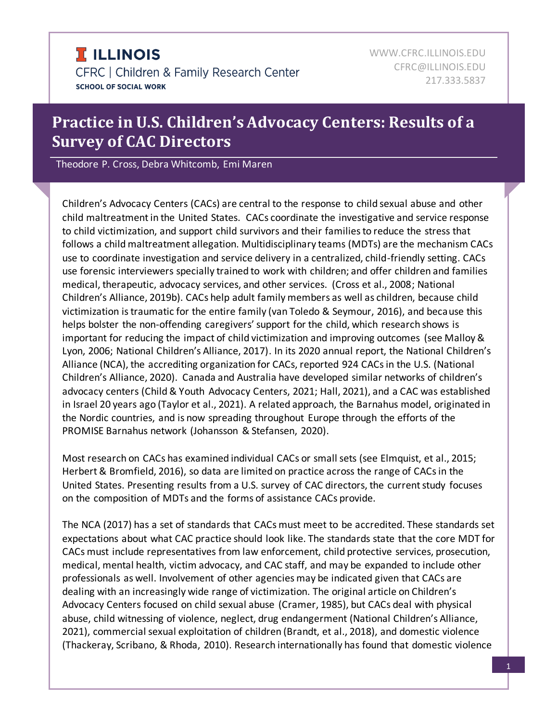# **Practice in U.S. Children's Advocacy Centers: Results of a Survey of CAC Directors**

Theodore P. Cross, Debra Whitcomb, Emi Maren

Children's Advocacy Centers (CACs) are central to the response to child sexual abuse and other child maltreatment in the United States. CACs coordinate the investigative and service response to child victimization, and support child survivors and their families to reduce the stress that follows a child maltreatment allegation. Multidisciplinary teams (MDTs) are the mechanism CACs use to coordinate investigation and service delivery in a centralized, child-friendly setting. CACs use forensic interviewers specially trained to work with children; and offer children and families medical, therapeutic, advocacy services, and other services. (Cross et al., 2008; National Children's Alliance, 2019b). CACs help adult family members as well as children, because child victimization is traumatic for the entire family (van Toledo & Seymour, 2016), and because this helps bolster the non-offending caregivers' support for the child, which research shows is important for reducing the impact of child victimization and improving outcomes (see Malloy & Lyon, 2006; National Children's Alliance, 2017). In its 2020 annual report, the National Children's Alliance (NCA), the accrediting organization for CACs, reported 924 CACs in the U.S. (National Children's Alliance, 2020). Canada and Australia have developed similar networks of children's advocacy centers (Child & Youth Advocacy Centers, 2021; Hall, 2021), and a CAC was established in Israel 20 years ago (Taylor et al., 2021). A related approach, the Barnahus model, originated in the Nordic countries, and is now spreading throughout Europe through the efforts of the PROMISE Barnahus network (Johansson & Stefansen, 2020).

Most research on CACs has examined individual CACs or small sets (see Elmquist, et al., 2015; Herbert & Bromfield, 2016), so data are limited on practice across the range of CACs in the United States. Presenting results from a U.S. survey of CAC directors, the current study focuses on the composition of MDTs and the forms of assistance CACs provide.

The NCA (2017) has a set of standards that CACs must meet to be accredited. These standards set expectations about what CAC practice should look like. The standards state that the core MDT for CACs must include representatives from law enforcement, child protective services, prosecution, medical, mental health, victim advocacy, and CAC staff, and may be expanded to include other professionals as well. Involvement of other agencies may be indicated given that CACs are dealing with an increasingly wide range of victimization. The original article on Children's Advocacy Centers focused on child sexual abuse (Cramer, 1985), but CACs deal with physical abuse, child witnessing of violence, neglect, drug endangerment (National Children's Alliance, 2021), commercial sexual exploitation of children (Brandt, et al., 2018), and domestic violence (Thackeray, Scribano, & Rhoda, 2010). Research internationally has found that domestic violence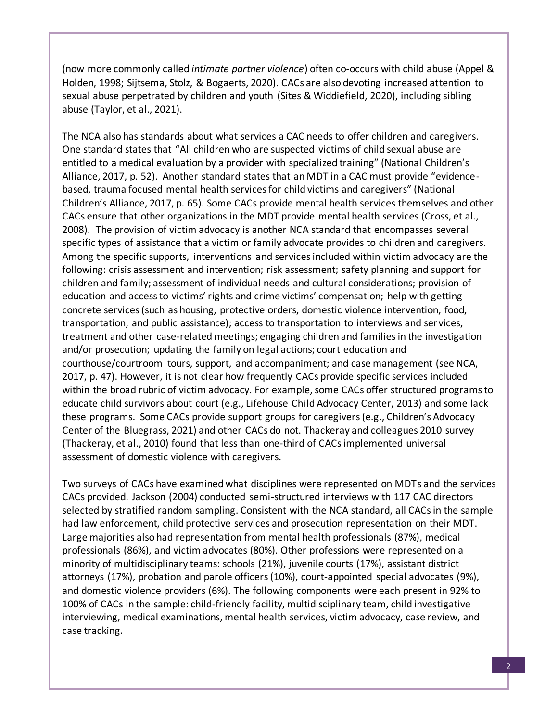(now more commonly called *intimate partner violence*) often co-occurs with child abuse (Appel & Holden, 1998; Sijtsema, Stolz, & Bogaerts, 2020). CACs are also devoting increased attention to sexual abuse perpetrated by children and youth (Sites & Widdiefield, 2020), including sibling abuse (Taylor, et al., 2021).

The NCA also has standards about what services a CAC needs to offer children and caregivers. One standard states that "All children who are suspected victims of child sexual abuse are entitled to a medical evaluation by a provider with specialized training" (National Children's Alliance, 2017, p. 52). Another standard states that an MDT in a CAC must provide "evidencebased, trauma focused mental health services for child victims and caregivers" (National Children's Alliance, 2017, p. 65). Some CACs provide mental health services themselves and other CACs ensure that other organizations in the MDT provide mental health services (Cross, et al., 2008). The provision of victim advocacy is another NCA standard that encompasses several specific types of assistance that a victim or family advocate provides to children and caregivers. Among the specific supports, interventions and services included within victim advocacy are the following: crisis assessment and intervention; risk assessment; safety planning and support for children and family; assessment of individual needs and cultural considerations; provision of education and access to victims' rights and crime victims' compensation; help with getting concrete services (such as housing, protective orders, domestic violence intervention, food, transportation, and public assistance); access to transportation to interviews and services, treatment and other case-related meetings; engaging children and families in the investigation and/or prosecution; updating the family on legal actions; court education and courthouse/courtroom tours, support, and accompaniment; and case management (see NCA, 2017, p. 47). However, it is not clear how frequently CACs provide specific services included within the broad rubric of victim advocacy. For example, some CACs offer structured programs to educate child survivors about court (e.g., Lifehouse Child Advocacy Center, 2013) and some lack these programs. Some CACs provide support groups for caregivers (e.g., Children's Advocacy Center of the Bluegrass, 2021) and other CACs do not. Thackeray and colleagues 2010 survey (Thackeray, et al., 2010) found that less than one-third of CACs implemented universal assessment of domestic violence with caregivers.

Two surveys of CACs have examined what disciplines were represented on MDTs and the services CACs provided. Jackson (2004) conducted semi-structured interviews with 117 CAC directors selected by stratified random sampling. Consistent with the NCA standard, all CACs in the sample had law enforcement, child protective services and prosecution representation on their MDT. Large majorities also had representation from mental health professionals (87%), medical professionals (86%), and victim advocates (80%). Other professions were represented on a minority of multidisciplinary teams: schools (21%), juvenile courts (17%), assistant district attorneys (17%), probation and parole officers (10%), court-appointed special advocates (9%), and domestic violence providers (6%). The following components were each present in 92% to 100% of CACs in the sample: child-friendly facility, multidisciplinary team, child investigative interviewing, medical examinations, mental health services, victim advocacy, case review, and case tracking.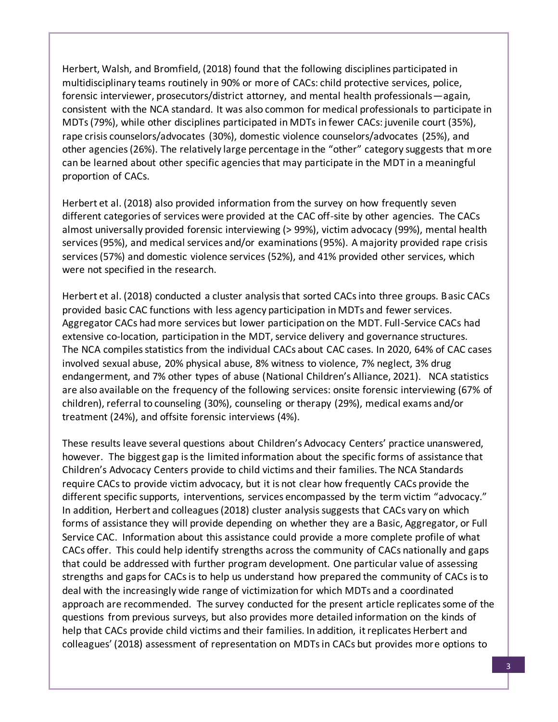Herbert, Walsh, and Bromfield, (2018) found that the following disciplines participated in multidisciplinary teams routinely in 90% or more of CACs: child protective services, police, forensic interviewer, prosecutors/district attorney, and mental health professionals—again, consistent with the NCA standard. It was also common for medical professionals to participate in MDTs (79%), while other disciplines participated in MDTs in fewer CACs: juvenile court (35%), rape crisis counselors/advocates (30%), domestic violence counselors/advocates (25%), and other agencies (26%). The relatively large percentage in the "other" category suggests that more can be learned about other specific agencies that may participate in the MDT in a meaningful proportion of CACs.

Herbert et al. (2018) also provided information from the survey on how frequently seven different categories of services were provided at the CAC off-site by other agencies. The CACs almost universally provided forensic interviewing (> 99%), victim advocacy (99%), mental health services (95%), and medical services and/or examinations (95%). A majority provided rape crisis services (57%) and domestic violence services (52%), and 41% provided other services, which were not specified in the research.

Herbert et al. (2018) conducted a cluster analysis that sorted CACs into three groups. Basic CACs provided basic CAC functions with less agency participation in MDTs and fewer services. Aggregator CACs had more services but lower participation on the MDT. Full-Service CACs had extensive co-location, participation in the MDT, service delivery and governance structures. The NCA compiles statistics from the individual CACs about CAC cases. In 2020, 64% of CAC cases involved sexual abuse, 20% physical abuse, 8% witness to violence, 7% neglect, 3% drug endangerment, and 7% other types of abuse (National Children's Alliance, 2021). NCA statistics are also available on the frequency of the following services: onsite forensic interviewing (67% of children), referral to counseling (30%), counseling or therapy (29%), medical exams and/or treatment (24%), and offsite forensic interviews (4%).

These results leave several questions about Children's Advocacy Centers' practice unanswered, however. The biggest gap is the limited information about the specific forms of assistance that Children's Advocacy Centers provide to child victims and their families. The NCA Standards require CACs to provide victim advocacy, but it is not clear how frequently CACs provide the different specific supports, interventions, services encompassed by the term victim "advocacy." In addition, Herbert and colleagues (2018) cluster analysis suggests that CACs vary on which forms of assistance they will provide depending on whether they are a Basic, Aggregator, or Full Service CAC. Information about this assistance could provide a more complete profile of what CACs offer. This could help identify strengths across the community of CACs nationally and gaps that could be addressed with further program development. One particular value of assessing strengths and gaps for CACs is to help us understand how prepared the community of CACs is to deal with the increasingly wide range of victimization for which MDTs and a coordinated approach are recommended. The survey conducted for the present article replicates some of the questions from previous surveys, but also provides more detailed information on the kinds of help that CACs provide child victims and their families. In addition, it replicates Herbert and colleagues' (2018) assessment of representation on MDTs in CACs but provides more options to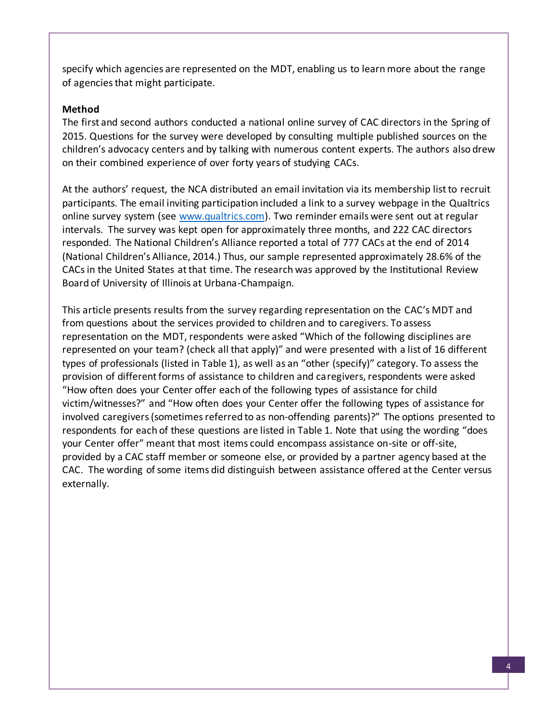specify which agencies are represented on the MDT, enabling us to learn more about the range of agencies that might participate.

#### **Method**

The first and second authors conducted a national online survey of CAC directors in the Spring of 2015. Questions for the survey were developed by consulting multiple published sources on the children's advocacy centers and by talking with numerous content experts. The authors also drew on their combined experience of over forty years of studying CACs.

At the authors' request, the NCA distributed an email invitation via its membership list to recruit participants. The email inviting participation included a link to a survey webpage in the Qualtrics online survey system (see www.qualtrics.com). Two reminder emails were sent out at regular intervals. The survey was kept open for approximately three months, and 222 CAC directors responded. The National Children's Alliance reported a total of 777 CACs at the end of 2014 (National Children's Alliance, 2014.) Thus, our sample represented approximately 28.6% of the CACs in the United States at that time. The research was approved by the Institutional Review Board of University of Illinois at Urbana-Champaign.

This article presents results from the survey regarding representation on the CAC's MDT and from questions about the services provided to children and to caregivers. To assess representation on the MDT, respondents were asked "Which of the following disciplines are represented on your team? (check all that apply)" and were presented with a list of 16 different types of professionals (listed in Table 1), as well as an "other (specify)" category. To assess the provision of different forms of assistance to children and caregivers, respondents were asked "How often does your Center offer each of the following types of assistance for child victim/witnesses?" and "How often does your Center offer the following types of assistance for involved caregivers (sometimes referred to as non-offending parents)?" The options presented to respondents for each of these questions are listed in Table 1. Note that using the wording "does your Center offer" meant that most items could encompass assistance on-site or off-site, provided by a CAC staff member or someone else, or provided by a partner agency based at the CAC. The wording of some items did distinguish between assistance offered at the Center versus externally.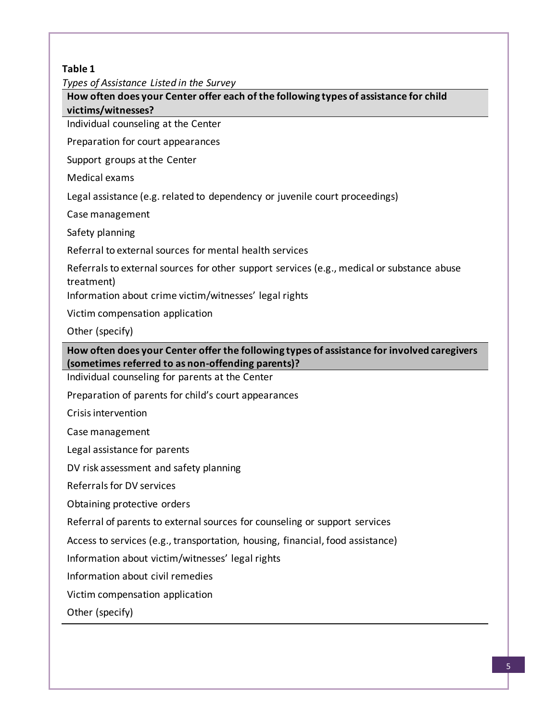#### **Table 1**

*Types of Assistance Listed in the Survey*

**How often does your Center offer each of the following types of assistance for child victims/witnesses?**

Individual counseling at the Center

Preparation for court appearances

Support groups at the Center

Medical exams

Legal assistance (e.g. related to dependency or juvenile court proceedings)

Case management

Safety planning

Referral to external sources for mental health services

Referrals to external sources for other support services (e.g., medical or substance abuse treatment)

Information about crime victim/witnesses' legal rights

Victim compensation application

Other (specify)

**How often does your Center offer the following types of assistance for involved caregivers (sometimes referred to as non-offending parents)?**

Individual counseling for parents at the Center

Preparation of parents for child's court appearances

Crisis intervention

Case management

Legal assistance for parents

DV risk assessment and safety planning

Referrals for DV services

Obtaining protective orders

Referral of parents to external sources for counseling or support services

Access to services (e.g., transportation, housing, financial, food assistance)

Information about victim/witnesses' legal rights

Information about civil remedies

Victim compensation application

Other (specify)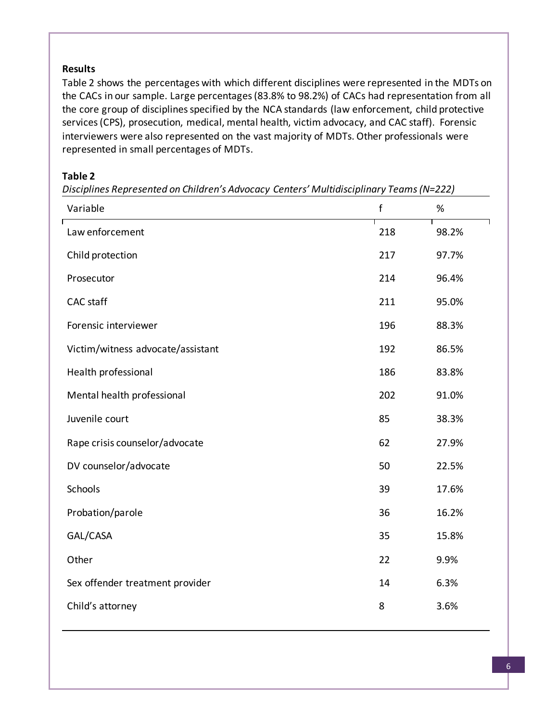#### **Results**

Table 2 shows the percentages with which different disciplines were represented in the MDTs on the CACs in our sample. Large percentages (83.8% to 98.2%) of CACs had representation from all the core group of disciplines specified by the NCA standards (law enforcement, child protective services (CPS), prosecution, medical, mental health, victim advocacy, and CAC staff). Forensic interviewers were also represented on the vast majority of MDTs. Other professionals were represented in small percentages of MDTs.

#### **Table 2**

| Variable                          | $\mathsf{f}$ | %     |
|-----------------------------------|--------------|-------|
| Law enforcement                   | 218          | 98.2% |
| Child protection                  | 217          | 97.7% |
| Prosecutor                        | 214          | 96.4% |
| <b>CAC</b> staff                  | 211          | 95.0% |
| Forensic interviewer              | 196          | 88.3% |
| Victim/witness advocate/assistant | 192          | 86.5% |
| Health professional               | 186          | 83.8% |
| Mental health professional        | 202          | 91.0% |
| Juvenile court                    | 85           | 38.3% |
| Rape crisis counselor/advocate    | 62           | 27.9% |
| DV counselor/advocate             | 50           | 22.5% |
| Schools                           | 39           | 17.6% |
| Probation/parole                  | 36           | 16.2% |
| GAL/CASA                          | 35           | 15.8% |
| Other                             | 22           | 9.9%  |
| Sex offender treatment provider   | 14           | 6.3%  |
| Child's attorney                  | 8            | 3.6%  |

*Disciplines Represented on Children's Advocacy Centers' Multidisciplinary Teams (N=222)*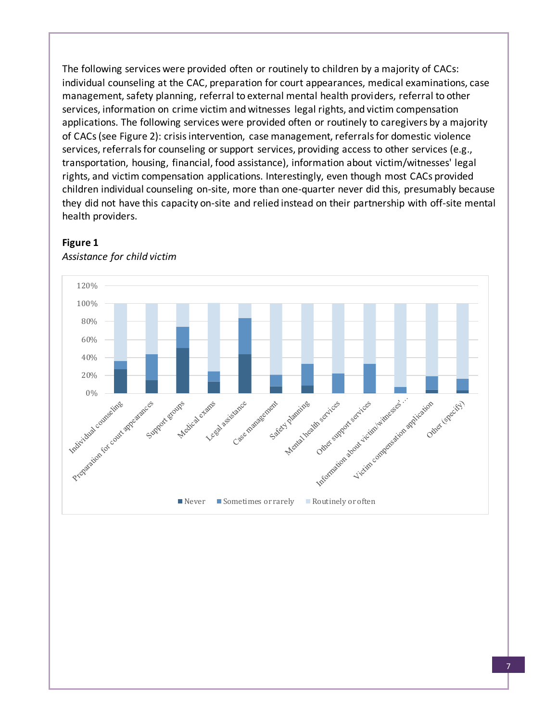The following services were provided often or routinely to children by a majority of CACs: individual counseling at the CAC, preparation for court appearances, medical examinations, case management, safety planning, referral to external mental health providers, referral to other services, information on crime victim and witnesses legal rights, and victim compensation applications. The following services were provided often or routinely to caregivers by a majority of CACs (see Figure 2): crisis intervention, case management, referrals for domestic violence services, referrals for counseling or support services, providing access to other services (e.g., transportation, housing, financial, food assistance), information about victim/witnesses' legal rights, and victim compensation applications. Interestingly, even though most CACs provided children individual counseling on-site, more than one-quarter never did this, presumably because they did not have this capacity on-site and relied instead on their partnership with off-site mental health providers.



#### **Figure 1**

*Assistance for child victim*

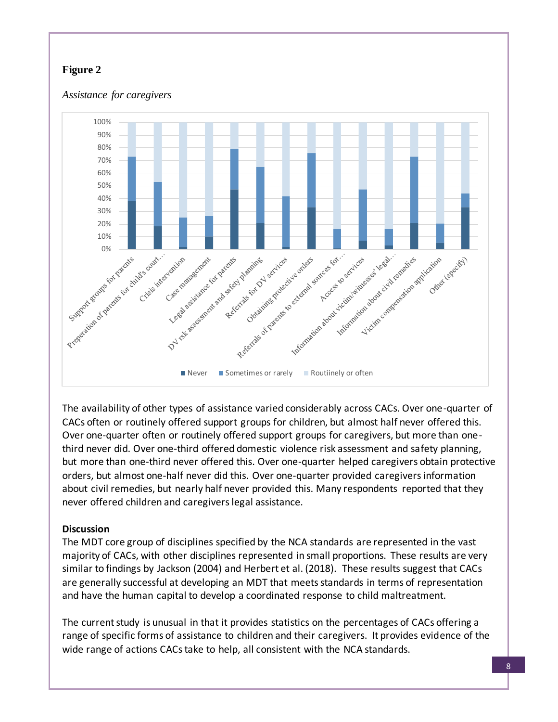# **Figure 2**



The availability of other types of assistance varied considerably across CACs. Over one-quarter of CACs often or routinely offered support groups for children, but almost half never offered this. Over one-quarter often or routinely offered support groups for caregivers, but more than onethird never did. Over one-third offered domestic violence risk assessment and safety planning, but more than one-third never offered this. Over one-quarter helped caregivers obtain protective orders, but almost one-half never did this. Over one-quarter provided caregivers information about civil remedies, but nearly half never provided this. Many respondents reported that they never offered children and caregivers legal assistance.

# **Discussion**

The MDT core group of disciplines specified by the NCA standards are represented in the vast majority of CACs, with other disciplines represented in small proportions. These results are very similar to findings by Jackson (2004) and Herbert et al. (2018). These results suggest that CACs are generally successful at developing an MDT that meets standards in terms of representation and have the human capital to develop a coordinated response to child maltreatment.

The current study is unusual in that it provides statistics on the percentages of CACs offering a range of specific forms of assistance to children and their caregivers. It provides evidence of the wide range of actions CACs take to help, all consistent with the NCA standards.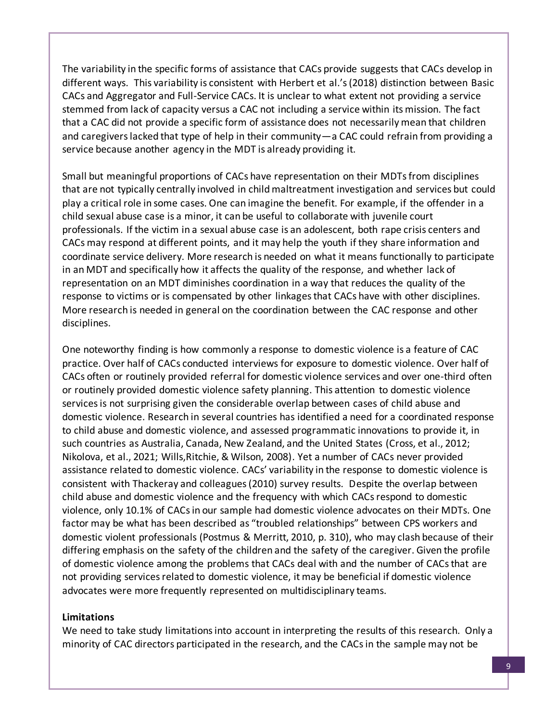The variability in the specific forms of assistance that CACs provide suggests that CACs develop in different ways. This variability is consistent with Herbert et al.'s (2018) distinction between Basic CACs and Aggregator and Full-Service CACs. It is unclear to what extent not providing a service stemmed from lack of capacity versus a CAC not including a service within its mission. The fact that a CAC did not provide a specific form of assistance does not necessarily mean that children and caregivers lacked that type of help in their community—a CAC could refrain from providing a service because another agency in the MDT is already providing it.

Small but meaningful proportions of CACs have representation on their MDTs from disciplines that are not typically centrally involved in child maltreatment investigation and services but could play a critical role in some cases. One can imagine the benefit. For example, if the offender in a child sexual abuse case is a minor, it can be useful to collaborate with juvenile court professionals. If the victim in a sexual abuse case is an adolescent, both rape crisis centers and CACs may respond at different points, and it may help the youth if they share information and coordinate service delivery. More research is needed on what it means functionally to participate in an MDT and specifically how it affects the quality of the response, and whether lack of representation on an MDT diminishes coordination in a way that reduces the quality of the response to victims or is compensated by other linkages that CACs have with other disciplines. More research is needed in general on the coordination between the CAC response and other disciplines.

One noteworthy finding is how commonly a response to domestic violence is a feature of CAC practice. Over half of CACs conducted interviews for exposure to domestic violence. Over half of CACs often or routinely provided referral for domestic violence services and over one-third often or routinely provided domestic violence safety planning. This attention to domestic violence services is not surprising given the considerable overlap between cases of child abuse and domestic violence. Research in several countries has identified a need for a coordinated response to child abuse and domestic violence, and assessed programmatic innovations to provide it, in such countries as Australia, Canada, New Zealand, and the United States (Cross, et al., 2012; Nikolova, et al., 2021; Wills,Ritchie, & Wilson, 2008). Yet a number of CACs never provided assistance related to domestic violence. CACs' variability in the response to domestic violence is consistent with Thackeray and colleagues (2010) survey results. Despite the overlap between child abuse and domestic violence and the frequency with which CACs respond to domestic violence, only 10.1% of CACs in our sample had domestic violence advocates on their MDTs. One factor may be what has been described as "troubled relationships" between CPS workers and domestic violent professionals (Postmus & Merritt, 2010, p. 310), who may clash because of their differing emphasis on the safety of the children and the safety of the caregiver. Given the profile of domestic violence among the problems that CACs deal with and the number of CACs that are not providing services related to domestic violence, it may be beneficial if domestic violence advocates were more frequently represented on multidisciplinary teams.

#### **Limitations**

We need to take study limitations into account in interpreting the results of this research. Only a minority of CAC directors participated in the research, and the CACs in the sample may not be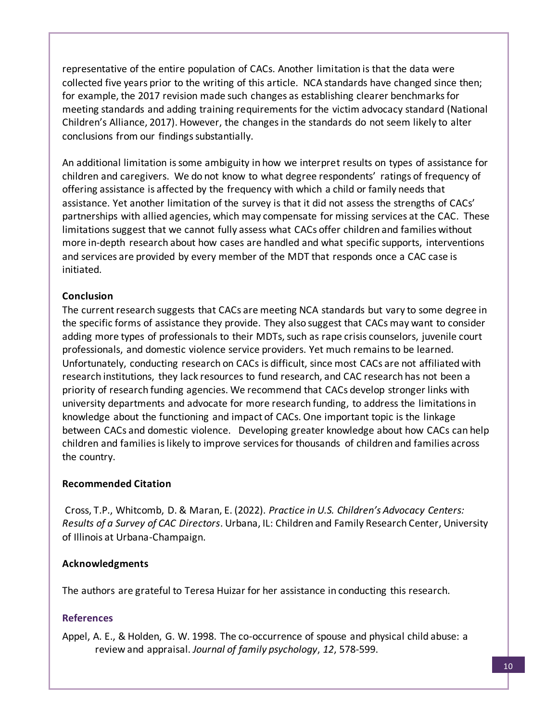representative of the entire population of CACs. Another limitation is that the data were collected five years prior to the writing of this article. NCA standards have changed since then; for example, the 2017 revision made such changes as establishing clearer benchmarks for meeting standards and adding training requirements for the victim advocacy standard (National Children's Alliance, 2017). However, the changes in the standards do not seem likely to alter conclusions from our findings substantially.

An additional limitation is some ambiguity in how we interpret results on types of assistance for children and caregivers. We do not know to what degree respondents' ratings of frequency of offering assistance is affected by the frequency with which a child or family needs that assistance. Yet another limitation of the survey is that it did not assess the strengths of CACs' partnerships with allied agencies, which may compensate for missing services at the CAC. These limitations suggest that we cannot fully assess what CACs offer children and families without more in-depth research about how cases are handled and what specific supports, interventions and services are provided by every member of the MDT that responds once a CAC case is initiated.

#### **Conclusion**

The current research suggests that CACs are meeting NCA standards but vary to some degree in the specific forms of assistance they provide. They also suggest that CACs may want to consider adding more types of professionals to their MDTs, such as rape crisis counselors, juvenile court professionals, and domestic violence service providers. Yet much remains to be learned. Unfortunately, conducting research on CACs is difficult, since most CACs are not affiliated with research institutions, they lack resources to fund research, and CAC research has not been a priority of research funding agencies. We recommend that CACs develop stronger links with university departments and advocate for more research funding, to address the limitations in knowledge about the functioning and impact of CACs. One important topic is the linkage between CACs and domestic violence. Developing greater knowledge about how CACs can help children and families is likely to improve services for thousands of children and families across the country.

#### **Recommended Citation**

Cross, T.P., Whitcomb, D. & Maran, E. (2022). *Practice in U.S. Children's Advocacy Centers: Results of a Survey of CAC Directors*. Urbana, IL: Children and Family Research Center, University of Illinois at Urbana-Champaign.

# **Acknowledgments**

The authors are grateful to Teresa Huizar for her assistance in conducting this research.

# **References**

Appel, A. E., & Holden, G. W. 1998. The co-occurrence of spouse and physical child abuse: a review and appraisal. *Journal of family psychology*, *12*, 578-599.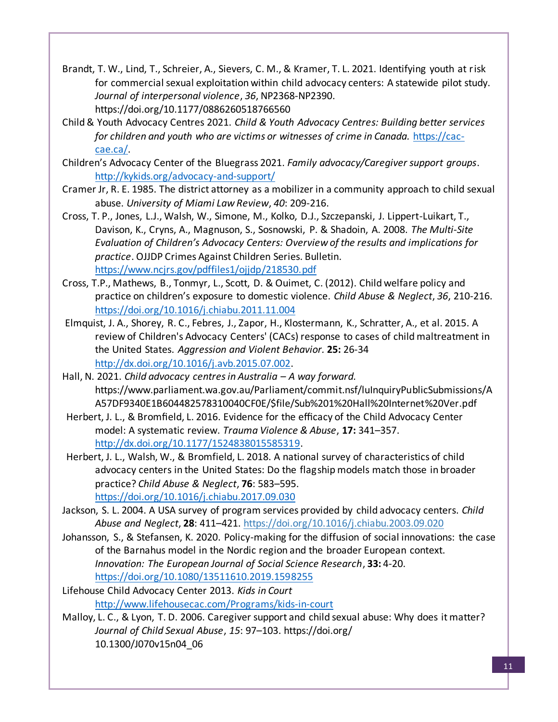- Brandt, T. W., Lind, T., Schreier, A., Sievers, C. M., & Kramer, T. L. 2021. Identifying youth at risk for commercial sexual exploitation within child advocacy centers: A statewide pilot study. *Journal of interpersonal violence*, *36*, NP2368-NP2390. https://doi.org/10.1177/0886260518766560
- Child & Youth Advocacy Centres 2021. *Child & Youth Advocacy Centres: Building better services for children and youth who are victims or witnesses of crime in Canada.* https://caccae.ca/.
- Children's Advocacy Center of the Bluegrass 2021. *Family advocacy/Caregiver support groups*. http://kykids.org/advocacy-and-support/
- Cramer Jr, R. E. 1985. The district attorney as a mobilizer in a community approach to child sexual abuse. *University of Miami Law Review*, *40*: 209-216.
- Cross, T. P., Jones, L.J., Walsh, W., Simone, M., Kolko, D.J., Szczepanski, J. Lippert-Luikart, T., Davison, K., Cryns, A., Magnuson, S., Sosnowski, P. & Shadoin, A. 2008. *The Multi-Site Evaluation of Children's Advocacy Centers: Overview of the results and implications for practice*. OJJDP Crimes Against Children Series. Bulletin. https://www.ncjrs.gov/pdffiles1/ojjdp/218530.pdf
- Cross, T.P., Mathews, B., Tonmyr, L., Scott, D. & Ouimet, C. (2012). Child welfare policy and practice on children's exposure to domestic violence. *Child Abuse & Neglect*, *36*, 210-216. https://doi.org/10.1016/j.chiabu.2011.11.004
- Elmquist, J. A., Shorey, R. C., Febres, J., Zapor, H., Klostermann, K., Schratter, A., et al. 2015. A review of Children's Advocacy Centers' (CACs) response to cases of child maltreatment in the United States. *Aggression and Violent Behavior.* **25:** 26-34 http://dx.doi.org/10.1016/j.avb.2015.07.002.
- Hall, N. 2021. *Child advocacy centres in Australia – A way forward.* https://www.parliament.wa.gov.au/Parliament/commit.nsf/luInquiryPublicSubmissions/A A57DF9340E1B604482578310040CF0E/\$file/Sub%201%20Hall%20Internet%20Ver.pdf
- Herbert, J. L., & Bromfield, L. 2016. Evidence for the efficacy of the Child Advocacy Center model: A systematic review. *Trauma Violence & Abuse*, **17:** 341–357. http://dx.doi.org/10.1177/1524838015585319.
- Herbert, J. L., Walsh, W., & Bromfield, L. 2018. A national survey of characteristics of child advocacy centers in the United States: Do the flagship models match those in broader practice? *Child Abuse & Neglect*, **76**: 583–595. https://doi.org/10.1016/j.chiabu.2017.09.030
- Jackson, S. L. 2004. A USA survey of program services provided by child advocacy centers. *Child Abuse and Neglect*, **28**: 411–421. https://doi.org/10.1016/j.chiabu.2003.09.020
- Johansson, S., & Stefansen, K. 2020. Policy-making for the diffusion of social innovations: the case of the Barnahus model in the Nordic region and the broader European context. *Innovation: The European Journal of Social Science Research*, **33:** 4-20. https://doi.org/10.1080/13511610.2019.1598255
- Lifehouse Child Advocacy Center 2013. *Kids in Court* http://www.lifehousecac.com/Programs/kids-in-court
- Malloy, L. C., & Lyon, T. D. 2006. Caregiver support and child sexual abuse: Why does it matter? *Journal of Child Sexual Abuse*, *15*: 97–103. https://doi.org/ 10.1300/J070v15n04\_06